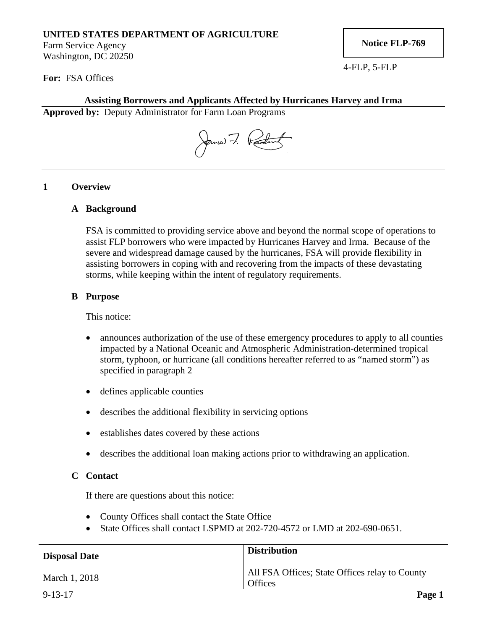# **UNITED STATES DEPARTMENT OF AGRICULTURE**

Farm Service Agency Washington, DC 20250 **Notice FLP-769** 

4-FLP, 5-FLP

**For:** FSA Offices

## **Assisting Borrowers and Applicants Affected by Hurricanes Harvey and Irma**

**Approved by:** Deputy Administrator for Farm Loan Programs

James 7. Rading

#### **1 Overview**

#### **A Background**

FSA is committed to providing service above and beyond the normal scope of operations to assist FLP borrowers who were impacted by Hurricanes Harvey and Irma. Because of the severe and widespread damage caused by the hurricanes, FSA will provide flexibility in assisting borrowers in coping with and recovering from the impacts of these devastating storms, while keeping within the intent of regulatory requirements.

#### **B Purpose**

This notice:

- announces authorization of the use of these emergency procedures to apply to all counties impacted by a National Oceanic and Atmospheric Administration-determined tropical storm, typhoon, or hurricane (all conditions hereafter referred to as "named storm") as specified in paragraph 2
- defines applicable counties
- describes the additional flexibility in servicing options
- establishes dates covered by these actions
- describes the additional loan making actions prior to withdrawing an application.

### **C Contact**

If there are questions about this notice:

- County Offices shall contact the State Office
- State Offices shall contact LSPMD at 202-720-4572 or LMD at 202-690-0651.

| <b>Disposal Date</b> | <b>Distribution</b>                                              |
|----------------------|------------------------------------------------------------------|
| March 1, 2018        | All FSA Offices; State Offices relay to County<br><b>Offices</b> |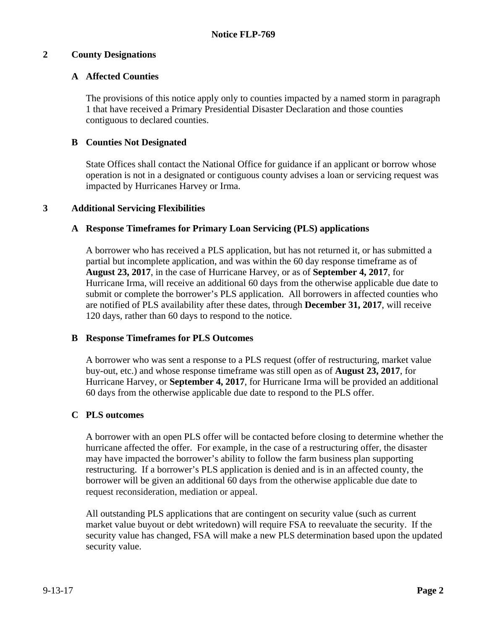## **2 County Designations**

# **A Affected Counties**

The provisions of this notice apply only to counties impacted by a named storm in paragraph 1 that have received a Primary Presidential Disaster Declaration and those counties contiguous to declared counties.

## **B Counties Not Designated**

State Offices shall contact the National Office for guidance if an applicant or borrow whose operation is not in a designated or contiguous county advises a loan or servicing request was impacted by Hurricanes Harvey or Irma.

## **3 Additional Servicing Flexibilities**

# **A Response Timeframes for Primary Loan Servicing (PLS) applications**

A borrower who has received a PLS application, but has not returned it, or has submitted a partial but incomplete application, and was within the 60 day response timeframe as of **August 23, 2017**, in the case of Hurricane Harvey, or as of **September 4, 2017**, for Hurricane Irma, will receive an additional 60 days from the otherwise applicable due date to submit or complete the borrower's PLS application. All borrowers in affected counties who are notified of PLS availability after these dates, through **December 31, 2017**, will receive 120 days, rather than 60 days to respond to the notice.

# **B Response Timeframes for PLS Outcomes**

A borrower who was sent a response to a PLS request (offer of restructuring, market value buy-out, etc.) and whose response timeframe was still open as of **August 23, 2017**, for Hurricane Harvey, or **September 4, 2017**, for Hurricane Irma will be provided an additional 60 days from the otherwise applicable due date to respond to the PLS offer.

### **C PLS outcomes**

A borrower with an open PLS offer will be contacted before closing to determine whether the hurricane affected the offer. For example, in the case of a restructuring offer, the disaster may have impacted the borrower's ability to follow the farm business plan supporting restructuring. If a borrower's PLS application is denied and is in an affected county, the borrower will be given an additional 60 days from the otherwise applicable due date to request reconsideration, mediation or appeal.

All outstanding PLS applications that are contingent on security value (such as current market value buyout or debt writedown) will require FSA to reevaluate the security. If the security value has changed, FSA will make a new PLS determination based upon the updated security value.